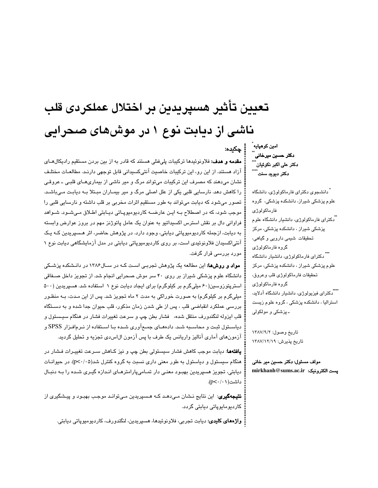# تعيين تأثير هسپريدين بر اختلال عملكردى قلب ناشی از دیابت نوع ۱ در موش۵مای صحرایی :<br>| چکیده:

**مقدمه و هدف:** فلاونوئیدها ترکیبات پلیفنلی هستند که قادر به از بین بردن مستقیم رادیکالهـای آزاد هستند. از این رو، این ترکیبات خاصیت آنتیکسیدانی قابل توجهی دارنـد. مطالعـات مختلـف نشان میدهند که مصرف این ترکیبات میتواند مرگ و میر ناشی از بیماریهـای قلبـی ـ عروقـی را کاهش دهد. نارسایی قلبی یکی از علل اصلی مرگ و میر بیمـاران مبـتلا بـه دیابـت مـیباشـد. تصور میشود که دیابت میتواند به طور مستقیم اثرات مخربی بر قلب داشته و نارسایی قلبی را موجب شود، که در اصطلاح بـه ایـن عارضــه کاردیومیوپـاتی دیـابتی اطـلاق مـیشـود. شـواهد فراوانی دال بر نقش استرس اکسیداتیو به عنوان یک عامل پاتوژنز مهم در بروز عوارض وابسته به دیابت، ازجمله کاردیومیوپاتی دیابتی، وجود دارد. در پژوهش حاضر، اثر هـسپریدین کـه یـک آنتی|کسیدان فلاونوئیدی است، بر روی کاردیومیوپاتی دیابتی در مدل آزمایشگاهی دیابت نوع ۱ مورد بررسی قرار گرفت.

مواد و روشها: این مطالعه یک پژوهش تجربی است کـه در سـال۱۳۸۶ در دانـشکده پزشـکی دانشگاه علوم پزشکی شیراز بر روی ۴۰ سر موش صحرایی انجام شد. از تجویز داخل صـفاقی استرپتورزوسین(۶۰ میلیگرم بر کیلوگرم) برای ایجاد دیابت نوع ۱ استفاده شد. هسپریدین (۵۰۰ میلی،گرم بر کیلوگرم) به صورت خوراکی به مدت ۲ ماه تجویز شد. پس از این مـدت، بـه منظـور بررسی عملکرد انقباضی قلب ، پس از طی شدن زمان مذکور، قلب حیوان جدا شده و به دسـتگاه قلب ایزوله لنگندورف منتقل شده، فشار بطن چپ و سرعت تغییرات فشار در هنگام سیستول و دیاســتول ثبـت و محاسـبه شـد. دادهمـای جمـعآوری شـده بـا اســتفاده از نــرمافـزار SPSS و آزمونهای آماری آنالیز واریانس یک طرف با پس آزمون ال|س،دی تجزیه و تحلیل گردید.

**یافتهها**: دیابت موجب کاهش فشار سیستولی بطن چپ و نیز کـاهش سـرعت تغییـرات فـشار در هنگام سیستول و دیاستول به طور معنی داری نسبت به گروه کنترل شد(p<٠/٠۵). در حیوانـات دیابتی، تجویز هسپریدین بهبـود معنـی دار تمـامیپارامترهـای انـدازه گیـری شـده را بـه دنبـال داشت(۰/۰۱/۱).

**نتیجهگیری**: این نتایج نـشان مـیدهـد کـه هـسپریدین مـیتوانـد موجـب بهبـود و پیـشگیری از كاردى<u>و</u>مايوپاتى ديابتى گردد.

**واژەھای کلیدی:** دیابت تجربی، فلاونوئیدھا، ھسپریدین، لنگندورف، کاردیومیوپاتی دیابتی.

امين كوهپايه دکتر حسین میرخانی آ دکتر علی اکبر نکوئیان ً ُ دکتر دیوید سنت ً

ً دانشجوی دکترای فارماکولوژی، دانشگاه علوم پزشکی شیراز، دانشکده پزشکی، گروه فارماكولوژى <sup>"</sup>دکترای فارماکولوژی، دانشیار دانشگاه علوم پزشکی شیراز ، دانشکده پزشکی، مرکز تحقیقات شیمی دارویی و گیاهی، گروه فارماکولوژی \*\*\* دکترای فارماکولوژی، دانشیار دانشگاه علوم پزشکی شیراز ، دانشکده پزشکی، مرکز تحقيقات فارماكولوژى قلب وعروق، گروه فارماکولوژی تشدکترای فیزیولوژی، دانشیار دانشگاه آدلاید، استرالیا ، دانشکده پزشکی ، گروه علوم زیست ـ پزشکی و مولکولی

تاريخ وصول: ١٣٨٧/٩/٢ تاريخ پذيرش: ١٣٨٧/١٢/٧

مولف مسئول: دكتر حسين مير خاني mirkhanh@sums.ac.ir :يست الكترونيك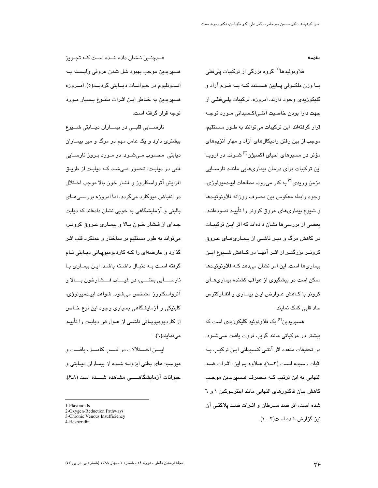مقدمه

فلاونوئیدها<sup>(۱)</sup> گروه بزرگ*ی* از ترکیبات پل*ی*فنل*ی* بــا وزن ملکــولی پــایین هــستند کــه بــه فــرم آزاد و گلیکوریدی وجود دارند. امروزه، ترکیبات پلے،فنلے، از جهت دارا بودن خاصیت آنتے اکسیدانی مـورد توجـه قرار گرفتهاند. این ترکیبات میتوانند به طـور مـستقیم، موجب از بین رفتن رادیکالهای آزاد و مهار آنزیمهای مؤثر در مسیرهای احیای اکسیژن<sup>(۲)</sup> شــوند. در اروپــا این ترکیبات برای درمان بیماری۱مایی ماننـد نارســایی مزمن وری*دی*<sup>(۳)</sup> به کار می٫رود. مطالعات اپیـدمیولو<u>ژ</u>ی، وجود رابطه معكوس بين مصرف روزانه فلاونوئيدها و شیوع بیماریهای عروق کرونر را تأیید نمـودهانـد. بعضی از بررسی ها نشان دادهاند که اثر ایـن ترکیبـات در کاهش مرگ و میـر ناشـی از بیمـاریهـای عـروق کرونــر بزرگتــر از اثــر آنهــا در کــاهش شـــیوع ایــن بیماریها است. این امر نشان می دهد کـه فلاونوئیـدها ممکن است در پیشگیری از عواقب کشنده بیماری هـای كرونر با كـاهش عـوارض ايـن بيمـارى و انفـاركتوس حاد قلبی کمک نمایند.

هسپریدین<sup>(۴)</sup> یک فلاونوئید گلیکوزید*ی* است که بیشتر در مرکباتی مانند گریپ فروت یافت مـیشــود. در تحقیقات متعدد اثر آنتےاکسیدانی ایـن ترکیـب بـه اثبات رسیده است (۳ــ۱). عـلاوه بـراین؛ اثـرات ضـد التھائی به این ترتیب کـه مـصرف هـسپریدین موجـب کاهش بیان فاکتورهای التهابی مانند اینترلـوکین ۱ و ٦ شده است، اثر ضد سـرطان و اثـرات ضـد پلاکتـی آن نیز گزارش شده است(۴ ـ ۱).

هــمچنــین نــشان داده شــده اســت کــه تجــویز هسپريدين موجب بهبود شل شدن عروقی وابـسته بـه انــدوتليوم در حيوانــات ديــابتى گرديــد(٥). امــروزه هسیریدین به خـاطر ایـن اثـرات متنـوع بـسیار مـورد توحه قرار گرفته است.

نارســـایی قلبــی در بیمــاران دیــابتی شـــیوع بیشتری دارد و یک عامل مهم در مرگ و میر بیمـاران دیابتی ًمحسوب مےشود. در مـورد بـروز نارسـایی قلبی در دیابت، تـصور مـیشـد کـه دیابـت از طریـق افزایش آترواسکلروز و فشار خون بالا موجب اخـتلال در انقباض میوکارد میگردد، اما امروزه بررسـیِهــای بالینی و آزمایشگاهی به خوبی نشان دادهاند که دیابت جـدای از فـشار خـون بـالا و بیمـاری عـروق کرونـر، می تواند به طور مستقیم بر ساختار و عملکرد قلب اثـر گذارد و عارضهای را کـه کاردیومیویـاتی دیـابتی نـام گرفته است بــه دنبــال داشــته باشــد. ايــن بيمــاری بــا نارســــايي بطنــــي، در غيــــاب فـــشارخون بــــالا و آترواسکلروز مشخص میشود. شواهد اپیـدمیولوژی، کلینیکی و آزمایشگاهی بسیاری وجود این نوع خـاص از کاردیومیوپــاتی ناشــی از عــوارض دیابـت را تأییــد می نمایند(٦).

ايسن اخستلالات در قلسب كامسل، بافست و میوسیتهای بطنی ایزولــه شــده از بیمــاران دیــابتی و حبوانات آزمایشگاهــــــی مشاهده شــــده است (۸ـ۶).

<sup>1-</sup>Flavonoids

<sup>2-</sup>Oxygen-Reduction Pathways

<sup>3-</sup>Chronic Venous Insufficiency

<sup>4-</sup>Hesperidin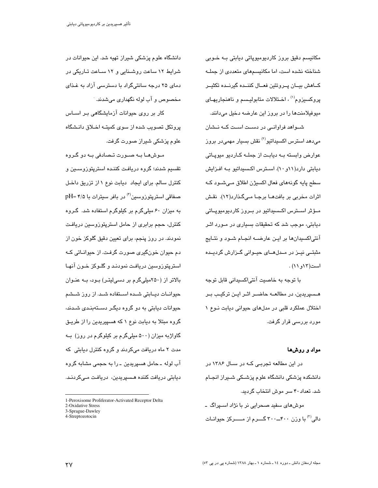مکانیسم دقیق بروز کاردیومیوپاتی دیابتی بـه خـوبی شناخته نشده است، اما مکانیسمهای متعددی از جملـه كــاهش بيــان يــروتئين فعــال كننــده گيرنــده تكثيــر یروکسیزوم<sup>(۱)</sup> ، اخـتلالات متابولیـسم و ناهنجاریهـای میوفیلامنتها را در بروز این عارضه دخیل میدانند.

شـواهد فراوانـی در دسـت اسـت کــه نــشان مے،دھد استرس اکسیداتیو<sup>(۲)</sup> نقش بسیار مهمے،در بروز عوارض وابسته بـه دیابـت از جملـه کــاردیو میوپــاتی دیابتی دارد(۱۱و ۱۰). استرس اکسیداتیو بـه افـزایش سطح پايه گونههاي فعال اکسيژن اطلاق مے شـود کـه اثرات مخربی بر بافتهـا برجـا مـیگذارد(١٢). نقش مـؤثر اسـترس اکـسىيداتيو در بـروز کارديوميوپـاتى دیابتی، موجب شد که تحقیقات بسیاری در مـورد اثـر آنتی|کسیدانها بر ایـن عارضــه انجـام شـود و نتـایج مثبتے نیـز در مـدلھــای حیـوانی گـزارش گردیـده است(١٢و ١١).

با توجه به خاصیت آنتی|کسیدانی قابل توجه هـسپریدین، در مطالعــه حاضــر اثــر ایــن ترکیــب بــر اختلال عملکرد قلبی در مدلهای حیوانی دیابت نوع ١ مورد بررسی قرار گرفت.

#### مواد و روشها

در این مطالعه تجربے کـه در سـال ۱۳۸۶ در دانشکده پزشکی دانشگاه علوم پزشـکی شــیراز انجـام شد. تعداد ۴۰ سر موش انتخاب گردید.

موشهای سفید صحرایی نر با نژاد اسـپراگ ــ دالی<sup>(۳)</sup> با وزن ۴۰۰\_۳۰۰ گـــرم از مـــــرکز حیوانــات

دانشگاه علوم پزشکی شیراز تهیه شد. این حیوانات در شرایط ۱۲ ساعت روشـنایی و ۱۲ سـاعت تـاریکی در دمای ۲۵ درجه سانتیگراد با دسترسی آزاد به غذای مخصوص و آب لوله نگهداری می شدند.

کار بر روی حیوانات آزمایشگاهی بـر اســاس پروتکل تصویب شده از سوی کمیتـه اخـلاق دانـشگاه علوم پزشکی شیراز صورت گرفت.

مـوشهـا بــه صــورت تــصادفی بــه دو گــروه تقسیم شدند؛ گروه دریافت کننـده استرپتوزوسـین و كنترل سالم. براى ايجاد ديابت نوع ١ از تزريق داخل صفاقی استرپتوروسین<sup>(۴)</sup> در بافر سیترات با pH= ۴/۵ به میزان ۶۰ میلیگرم بر کیلوگرم استفاده شد. گروه کنترل، حجم برابری از حامل استرپتوزوسین دریافت نمودند. در روز پنجم، برای تعیین دقیق گلوکز خون از دم حیوان خونگیری صورت گرفت. از حیوانـاتی کـه استریتوزوسین دریافت نمودنـد و گلـوکز خـون آنهـا بالاتر از (۲۵۰میلیگرم بر دسیلیتر) بود، به عنوان حیوانـات دیـابتی شــده اسـتفاده شــد. از روز شــشم حیوانات دیابتی به دو گروه دیگـر دسـتهبنـدی شـدند، گروه مبتلا به دیابت نوع ۱ که هسپیریدین را از طریـق گاواژبه میزان (۵۰۰ میلیگرم بر کیلوگرم در روز) بــه مدت ۲ ماه دریافت میکردند و گروه کنترل دیابتی که آب لوله ۔ حامل هسپریدین ۔ را به حجمی مشابه گروه ديابتی دريافت کننده هـسپريدين، دريافـت مـیکردنـد.

4-Streptozotocin

<sup>1-</sup>Peroxisome Proliferator-Activated Receptor Delta 2-Oxidative Stress

<sup>3-</sup>Sprague-Dawley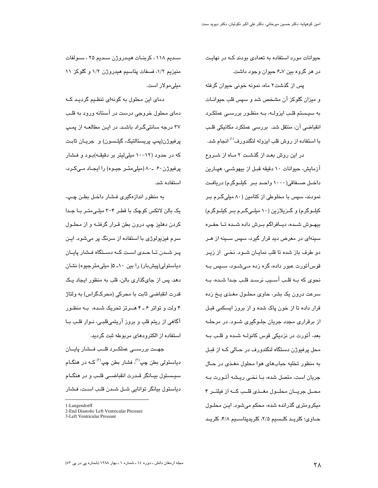حیوانات مورد استفاده به تعدادی بودند کـه در نهایـت در هر گروه بین ۷ـ۶ حیوان وجود داشت.

پس از گذشت۲ ماه، نمونه خونی حیوان گرفته و میزان گلوکز آن مشخص شد و سپس قلب حیوانـات به سیستم قلب ایزولــه، بــه منظـور بررســی عملکـرد انقباضی آن، منتقل شد. بررسی عملکرد مکانیکی قلـب با استفاده از روش قلب ایزوله لنگندورف<sup>(۱)</sup> انجام شد.

در این روش بعـد از گذشـت ۲ مـاه از شــروع آزمایش، حیوانات ۱۰ دقیقه قبـل از بیهوشــی، هپـارین داخل صعفاقی(١٠٠٠ واحد بر کیلوگرم) دریافت نمودند، سپس با مخلوطی از کتامین (۸۰ میلیگرم بـر کیلــوگرم) و گــزیلازین (۱۰ میلــیگــرم بــر کیلــوگرم) بيهـوش شـده، ديــافراگم بــرش داده شــده تــا حفــره سینهای در معرض دید قرار گیرد، سپس سـینه از هـر دو طرف باز شده تا قلب نمایان شود. نخمی از زیر قوسآئورت عبور داده، گره زده مے،شــود، ســیِس بــه نحوی که بــه قلــب آســیب نرســد قلــب جــدا شــده، بــه سرعت درون یک بشر، حاوی محلـول مغـذی پــخ زده قرار داده تا از خون پاک شده و از بروز ایسکمی قبـل از برقراری مجدد جریان جلـوگیری شـود. در مرحلــه بعد، آئورت در نزدیکی قوس کانولــه شــده و قلــب بــه محل پرفیوژن دستگاه لنگندورف در حـالی کـه از قبـل به منظور تخلیه حبابهای هوا محلول مغذی در حال جریان است، متصل شده، بــا نخــی ریــشه آئــورت بــه محـل جريــان محلــول مغــذى قلــب كــه از فيلتــر ۴ میکرومتری گذرانده شده، محکم میشود. ایـن محلـول حــاوي؛ كلريــد كلــسيم ٢/۵، كلريدپتاســيم ۴/٨، كلريــد

سىديم ١١٨، كربنــات ھيـدروژن سىديم ٢۵ ، ســولفات منیزیم ۱/۲، فسفات پتاسیم هیدروژن ۱/۲ و گلوکز ۱۱ مبلے مولار است.

دمای این محلول به گونهای تنظیم گردید کیه دمای محلول خروجی درست در آستانه ورود به قلـب ۳۷ درجه سانتیگـراد باشـد. در ایـن مطالعــه از پمــپ پرفيوژن(پمپ پريستالتيک، گيلـسون) و جريـان ثابـت که در حدود (۱۲–۱۰ میلیلیتر بر دقیقـه)بـود و فـشار پرفیوژن ۶۰ ـ۸۰ (میلی متـر جیـوه) را ایجـاد مـیکـرد، استفاده شد.

به منظور اندازهگیری فــشار داخـل بطـن چـڀ، یک بالن لاتکس کوچک با قطر ۴-۳ میلی متـر بـا جـدا کردن دهلیز چپ درون بطن قـرار گرفتـه و از محلـول سرم فیزیولوژی با استفاده از سرنگ پر میشود. ایـن یـر شـدن تـا حـدی اسـت کـه دسـتگاه فـشار پایـان دیاستولی(پیشبار) را بین ۱۰ـ ۵( میلی،مترجیوه) نشان دهد. پس از جایگذاری بالن، قلب به منظور ایجاد یک قدرت انقباضی ثابت با محرکی (محرکگراس) به ولتاژ ۴ ولت و تواتر ۶ ـ ۴ هــرتز تحریک شـده، بـه منظـور آگاهی از ریتم قلب و بروز آریتمیقلبـی، نـوار قلـب بـا استفاده از الکترودهای مربوطه ثبت گردید.

جهــت بررســـی عملکــرد قلــب فــشار پایــان دیاستولی بطن چپ<sup>(۲)</sup>، فشار بطن چپ<sup>(۳)</sup> کــه در هنگــام سيــستول بيــانگر قــدرت انقباضــي قلــب و در هنگــام دیاستول بیانگر توانایی شـل شـدن قلـب اسـت، فـشار

<sup>1-</sup>Langendorff

<sup>2-</sup>End Diastolic Left Ventricular Pressure

<sup>3-</sup>Left Ventricular Pressure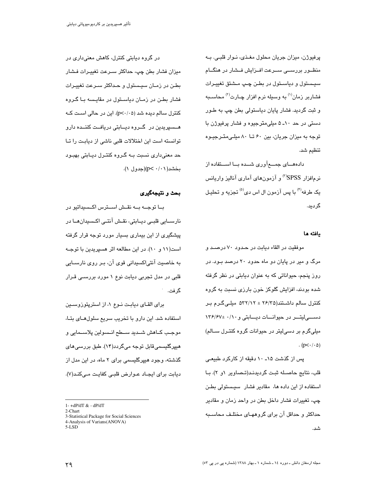پرفیوژن، میزان جریان محلول مغـذی، نـوار قلبـی. بـه منظــور بررســـی ســرعت افــزایش فــشار در هنگــام سيستول و دياســتول در بطـن چـپ مــشتق تغييـرات فشاربر زمان<sup>(۱)</sup> به وسبله نرم افزار چـارت<sup>(۲)</sup> محاســبه و ثبت گردید. فشار پایان دیاستولی بطن چپ به طـور دستی در حد ۱۰ـ ۵ میلی،مترجیوه و فشار پرفیوژن با توجه به میزان جریان، بین ۶۰ تــا ۸۰ میلـی متــرجیــوه تنظيم شد.

دادههـــای جمــــعآوری شـــده بـــا اســـتفاده از نرمافزار SPSS°" و آزمونهای آماری آنالیز واریانس یک طرفه<sup>(۴)</sup> با پس آزمون ال اس دی<sup>(۵)</sup> تجزیه و تحلیـل گردىد.

# يافته ها

موفقيت در القاء ديابت در حدود ٧٠ درصـد و مرگ و میر در پایان دو ماه حدود ۲۰ درصد بـود. در روز پنجم، حیواناتی که به عنوان دیابتی در نظر گرفته شده بودند، افزایش گلوکز خون بارزی نسبت به گروه کنترل سالم داشتند(۲۶/۲۵ ± ۵۳۲/۱۲ میلی گـرم بـر دسسی لیتـــر در حیوانـــات دیـــابتی و ۱۳۶/۶۷± ۱۳۶/۶۷ میلیگرم بر دسی!یتر در حیوانات گروه کنتـرل ســالم)  $(p<\cdot/\cdot \Delta)$ 

پس از گذشت ۱۵ـ ۱۰ دقیقه از کارکرد طبیعی قلب، نتایج حاصـله ثبـت گردیدنـد(تـصـاویر ۱و ۲). بـا استفاده از این داده ها، مقادیر فشار سیستولی بطن چپ، تغییرات فشار داخل بطن در واحد زمان و مقادیر حداکثر و حداقل آن برای گروههـای مختلـف محاسـبه شد.

در گروه دیابتی کنترل، کاهش معنیداری در میزان فشار بطن چپ، حداکثر سـرعت تغییـرات فـشار بطـن در زمـان سیـستول و حـداکثر سـرعت تغییـرات فشار بطـن در زمـان دیاسـتول در مقایـسه یـا گـروه کنترل سالم دیده شد (p<٠/٠۵). این در حالی است کـه هــسپریدین در گــروه دیــابتی دریافــت کننــده دارو توانسته است این اختلالات قلبی ناشی از دیابت را تـا حد معنیداری نسبت بــه گــروه کنتــرل دیــابتی بهبــود بخشد(۰/۰۱)(جدول ۱).

# بحث و نتيجهگيري

بــا توجــه بــه نقــش اســترس اكــسيداتيو در نارسـایی قلبـی دیـابتی، نقـش آنتـی اکـسیدانهـا در پیشگیری از این بیماری بسیار مورد توجه قرار گرفته است(۱۱ و ۱۰). در این مطالعه اثر هسپریدین با توجـه به خاصیت آنتی|کسیدانی قوی آن، بـر روی نارسـایی قلبی در مدل تجربی دیابت نوع ۱ مورد بررسـی قـرار گر فت.

برای القای دیابت نوع ۱، از استرپتوزوسین استفاده شد. این دارو با تخریب سریع سلولهـای بتـا، موجب كـاهش شـديد سـطح انـسولين پلاسـمايي و ھیپرگلیسمیقابل توجه میگردد(۱۴). طبق بررسی *ه*ای گذشته، وجود هیپرگلیسمی برای ۲ ماه، در این مدل از ديابت براي ايجـاد عــوارض قلبــى كفايـت مــىكنـد(٧).

3-Statistical Package for Social Sciences

 $1 - +dP/dT & dP/dT$ 

<sup>2-</sup>Chart

<sup>4-</sup>Analysis of Varians(ANOVA)

 $5$ -LSD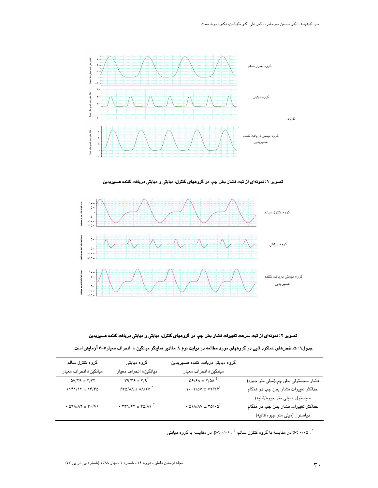

تصویر ۱: نمونهای از ثبت فشار بطن چپ در گروههای کنترل، دیابتی و دیابتی دریافت کننده هسپریدین



تصویر ۲: نمونهای از ثبت سرعت تغییرات فشار بطن چپ در گروههای کنترل، دیابتی و دیابتی دریافت کننده هسپریدین

| جدول۱ : شاخصهای عملکرد قلبی در گروههای مورد مطالعه در دیابت نوع ۱. مقادیر نماینگر میانگین ± انحراف معیار۲–۶ آزمایش است. |  |  |
|-------------------------------------------------------------------------------------------------------------------------|--|--|
|-------------------------------------------------------------------------------------------------------------------------|--|--|

| گروہ کنترل سالم                                                        | گروہ دیابتی                                                                        | گروه دیابتی دریافت کننده هسپریدین                                                                                                                          |                                     |
|------------------------------------------------------------------------|------------------------------------------------------------------------------------|------------------------------------------------------------------------------------------------------------------------------------------------------------|-------------------------------------|
| میانگین± انحراف معیار                                                  | ميانگين± انحراف معيار                                                              | ميانگين± انحراف معيار                                                                                                                                      |                                     |
| $\Delta V/\Upsilon\varphi\,\pm\,\Upsilon/\Upsilon\varphi$              | $\Gamma$ 9/٣۶ ± $\Gamma$ /9 <sup>*</sup>                                           | $\Delta \mathcal{F}/\mathcal{F} \Lambda \pm \mathrm{Y}/\Delta \Lambda^{\ddagger}$                                                                          | فشار سیستولی بطن چپ(میلی متر جیوه)  |
| $\mathcal{N}(\mathfrak{k})/\mathfrak{N} \pm \mathcal{N}(\mathfrak{k})$ | $540/M \pm \Lambda\Lambda/\Upsilon\mathrm{V}^*$                                    | $\cdots$ $\gamma/\Delta V \pm \gamma \gamma / \gamma \epsilon^{\ddagger}$                                                                                  | حداکثر تغییرات فشار بطن چپ در هنگام |
|                                                                        |                                                                                    |                                                                                                                                                            | سیستول (میلی متر جیوه/ثانیه)        |
| - $\Delta \Lambda/\Lambda \Upsilon$ $\pm$ $\Upsilon \cdot /V \Lambda$  | - $\Upsilon\Upsilon\Upsilon/\Upsilon\Upsilon \pm \Upsilon\Delta/\Lambda\Upsilon^*$ | - $\Delta \ensuremath{\mathcal{N}}/\ensuremath{\mathcal{N}} \pm \ensuremath{\mathcal{N}} \ensuremath{\mathcal{O}}/\cdot \ensuremath{\mathcal{Q}}^\ddagger$ | حداکثر تغییرات فشار بطن چپ در هنگام |
|                                                                        |                                                                                    |                                                                                                                                                            | دیاستول (میلی متر جیوه/ثانیه)       |

در مقایسه با گروه کنترل سالم،  $\cdot/\cdot\cdot> \gamma\cdot p$  در مقایسه با گروه دیابتی  $p<\cdot/\cdot$ ۵ :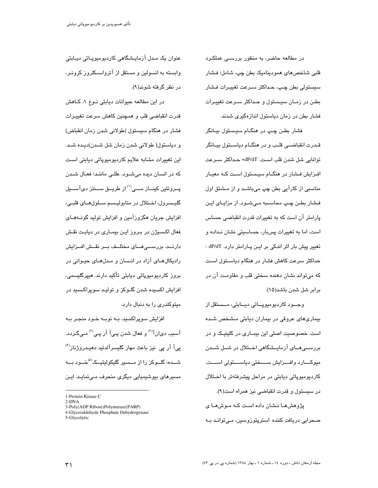در مطالعه حاضر، به منظور بررسـے عملکـرد قلبي شاخصهاي هموديناميک بطن چپ، شامل؛ فـشار سيستولي بطن چـڀ، حـداکثر سـرعت تغييـرات فـشار بطن در زمـان سیـستول و حـداکثر سـرعت تغییـرات فشار بطن در زمان دیاستول اندازهگیری شدند.

فشار بطن چپ در هنگـام سيـستول بيـانگر قـدرت انقباضــی قلــب و در هنگــام دیاســتول بیــانگر توانايي شل شدن قلب است. dP/dT+ حداكثر سـرعت افـزایش فـشار در هنگـام سیـستول اسـت کـه معیـار مناسبی از کارآیی بطن چپ میباشـد و از مـشتق اول فشار بطن چپ محاسبه میشود. از مزایای این پارامتر آن است که به تغییرات قدرت انقباضی حساس است، اما به تغییرات پسبار، حساسیتی نشان نـداده و تغییر پیش بار اثر اندکی بر ایـن پـارامتر دارد. dP/dT -حداکثر سرعت کاهش فشار در هنگام دیاســتول اســت که می تواند نشان دهنده سختی قلب و مقاومت آن در برابر شل شدن باشد(۱۵).

وجــود کاردیومیوپــاتی دیــابتی، مــستقل از بیماریهای عروقی در بیماران دیابتی مشخص شده است. خصوصیت اصلی این بیمـاری در کلینیـک و در بررســی هــای آزمایــشگاهی اخــتلال در شــل شــدن ميوكــــارد وافــــزايش ســـــختى دياســــتولى اســــت. کاردیومیوپاتی دیابتی در مراحل پیشرفتهتر با اخــتلال در سيستول و قدرت انقباضي نيز همراه است(٩).

پژوهشهـا نـشان داده اسـت کـه مـوشهـا ی صحرایی دریافت کننده استرپتوزوسین، مـی توانـد بـه

عنوان یک میدل آزماییشگاهی کاردیومیوییاتی دیبایتی وابسته به انسولین و مستقل از آترواســکلروز کرونـر، در نظر گرفته شوند(۹).

در این مطالعه حیوانات دیابتی نوع ١، کاهش قدرت انقباضی قلب و همچنین کاهش سرعت تغییـرات فشار در هنگام سیستول (طولانی شدن زمان انقباض) و دياستول( طولاني شدن زمان شل شـدن)ديـده شـد. این تغییرات مشابه علایم کاردیومیوپاتی دیابتی است که در انسان دیده میشــود. عللــی ماننــد؛ فعــال شــدن پــروتئين کينــاز ســـى<sup>(۱)</sup>از طريــق ســنتز دىآســيل گليــسرول، اخــتلال در متابوليــسم ســلولهــای قلبــی، افزایش جریان هگزورآمین و افزایش تولید گونــهمـای فعال اکسیژن در بـروز ایـن بیمـاری در دیابـت نقـش دارنــد. بررســـی هـــای مختلــف بــر نقــش افــزایش رادیکال هـای آزاد در انـسان و مـدلهـای حیـوانی در بروز کاردیومیوپاتی دیابتی تأکید دارند. هیپرگلیسمے،، افزایش اکسیده شدن گلــوکز و تولیــد سوپراکـسـید در میتوکندری را به دنبال دارد.

افزایش سوپراکسید، بــه نوبــه خـود منجـر بــه آسیب دیانآ<sup>(۳)</sup> و فعال شدن پـیآ آر پـی<sup>(۳)</sup> مـیگـردد. پیآ آر پی نیز باعث مهار گلیسرآلدئید دهیـدروژناز<sup>(۴)</sup> شــده، گلــوکز را از مــسیر گلیکولیتیــک<sup>(۵)</sup>خــود بــه مسیرهای بیوشیمیایی دیگری منحرف مے،نمایـد. ایـن

<sup>1-</sup>Protein Kinase C

 $2-DNA$ 

<sup>3-</sup>Poly(ADP Ribose)Polymerase(PARP)

<sup>4-</sup>Glyceraldehyde Phosphate Dehydrogenase 5-Glycolytic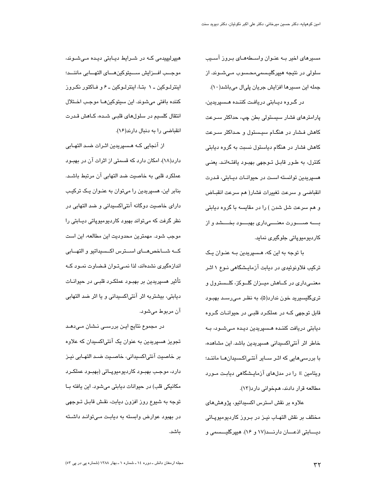مسیرهای اخیر بـه عنـوان واســطههـای بـروز آســیب سلولي در نتيجه هيڀرگليسىمي،محسوب مـي.شـوند. از جمله اين مسيرها افزايش جريان پليال ميباشد(١٠). در گـروه ديـابتى دريافـت كننـده هـسپريدين، پارامترهای فشار سیستولی بطن چپ، حداکثر سـرعت کاهش فـشار در هنگـام سیـستول و حـداکثر سـرعت کاهش فشار در هنگام دیاستول نسبت به گروه دیابتی کنترل، به طـور قابـل تـوجهی بهبـود یافتـهانـد. یعنـی هسپريدين توانسته است در جيوانيات ديبايتي، قيدرت انقباضى و سرعت تغييرات فشار(هم سرعت انقباض و هم سرعت شل شدن ) را در مقایسه با گروه دیابتی بـــه صــــورت معنـــــ داری بهبــــود بـخــــشد و از کاردیومیوپاتی جلوگیری نماید.

با توجه به این که، هـسپریدین بـه عنـوان یـک ترکیب فلاونوئیدی در دیابت آزمایـشگاهی نـوع ۱ اثـر معنـــی،داری در کـــاهش میـــزان گلـــوکز، کلـــسترول و تریگلیسیرید خون ندارد(۵)، به نظر مـیرسـد بهبـود قابل توجهی کـه در عملکـرد قلبـی در حیوانـات گـروه دیابتی دریافت کننـده هـسپریدین دیـده مـیشـود، بـه خاطر اثر آنتی|کسیدانی هسپریدین باشد. این مشاهده، با بررسی ھاپی که اثـر ســایر آنتـی|کـسیدانھـا ماننـد؛ ویتامین E را در مدلهای آزمایشگاهی دیابت مـورد مطالعه قرار دادند، همخوانی دارد(۱۳).

علاوه بر نقش استرس اکسیداتیو، پژوهشهای مختلف بر نقش التهـاب نيـز در بـروز كارديوميوپـاتى ديسابتي اذعسان دارنسد(١٧ و ١٤). هيپرگليسسمي و

هیپرلیپیدمی کـه در شـرایط دیـابتی دیـده مـیشـوند، موجــب افـــزايش ســــيتوكين هــــاى التهـــابى ماننـــد؛ اینترلـوکین ــ ۱ بتــا، اینترلــوکین ــ ۶ و فــاکتور نکـروز كننده بافتى مى شوند. اين سيتوكين هـا موجب اخـتلال انتقال کلسیم در سلولهای قلبـی شـده، کـاهش قـدرت انقباضی را به دنبال دارند(۱۶).

از آنجایی کـه هـسپریدین اثـرات ضـد التهـابی دارد(۱۸)، امکان دارد که قسمتی از اثرات آن در بهبـود عملکرد قلبی به خاصیت ضد التهابی آن مرتبط باشـد. بنابر این، هسپریدین را می توان به عنـوان یـک ترکیـب دارای خاصیت دوگانه آنتی|کسیدانی و ضد التهابی در نظر گرفت که میتواند بهبود کاردیومیوپاتی دیـابتی را موجب شود. مهمترین محدودیت این مطالعه، این است كه شاخص هاى استرس اكسيداتيو والتهابي اندازهگیری نشدهاند، لذا نمـیتـوان قـضـاوت نمـود کــه تأثیر هسپریدین بر بهبـود عملکـرد قلبـی در حیوانــات ديابتي، بيشتربه اثر آنتي|كسيداني و يا اثر ضد التهابي آن مربوط ميشود.

در مجموع نتایج ایـن بررســی نــشان مــیدهــد تجویز هسپریدین به عنوان یک آنتیاکسیدان که علاوه بر خاصيت آنتىاكسيدانى، خاصـيت ضـد التهـابى نيـز دارد، موجب بهبـود کاردپومیوپـاتی (بهبـود عملکـرد مكانيكي قلب) در حيوانات ديابتي مي شود. اين يافته بـا توجه به شیوع روز افزون دیابت، نقش قابـل تــوجهی در بهبود عوارض وابسته به دیابت مـیتوانـد داشـته باشد.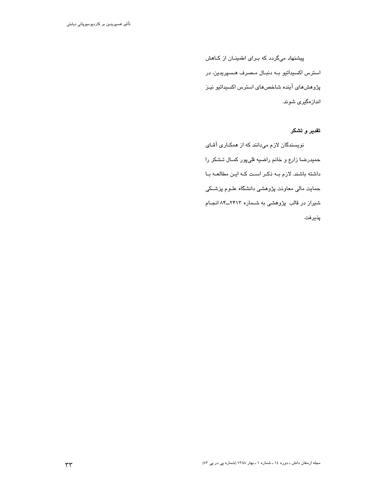پیشنهاد میگردد که بـرای اطمینــان از کــاهش استرس اکسیداتیو بـه دنبـال مـصرف هـسپریدین، در پژوهش های آینده شاخص های استرس اکسیداتیو نیز اندازهگیری شوند.

تقدیر و تشکر

نویسندگان لازم میدانند که از همکـاری آقـای حمیدرضا زارع و خانم راضیه قلیپور کمـال تـشکر را داشته باشند. لازم بـه ذکـر اسـت کـه ایـن مطالعـه بـا حمایت مالی معاونت پژوهشی دانشگاه علـوم پزشــکی شیراز در قالب پژوهشی به شــماره ۲۴۱۳ــ۸۴ انجـام پذيرفت.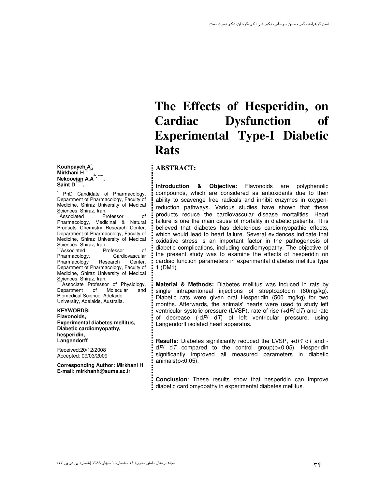**Kouhpayeh A\* ,**  Mirkhani H<sup>\*\*,\*\*\*</sup>,<br>Nekooeian A.A<sup>'\*,\*\*\*\*</sup>,<br>Saint D

\* PhD Candidate of Pharmacology, Department of Pharmacology, Faculty of Medicine, Shiraz University of Medical Sciences, Shiraz, Iran.<br>
"Associated Professor

\*Associated Professor of Pharmacology, Medicinal & Natural Products Chemistry Research Center, Department of Pharmacology, Faculty of Medicine, Shiraz University of Medical Sciences, Shiraz, Iran.<br>
"Associated Professor

associated Professor of<br>Marmacology. Cardiovascular Pharmacology, Cardiovascular<br>Pharmacology Research Center, Pharmacology Department of Pharmacology, Faculty of Medicine, Shiraz University of Medical Sciences, Shiraz, Iran.

\*Associate Professor of Physiology, Department of Molecular and Biomedical Science, Adelaide University, Adelaide, Australia.

**KEYWORDS: Flavonoids, Experimental diabetes mellitus, Diabetic cardiomyopathy, hesperidin, Langendorff** 

Received:20/12/2008 Accepted: 09/03/2009

**Corresponding Author: Mirkhani H E-mail: mirkhanh@sums.ac.ir**

# **The Effects of Hesperidin, on Cardiac Dysfunction of Experimental Type-I Diabetic Rats**

### **ABSTRACT:**

**Introduction & Objective:** Flavonoids are polyphenolic compounds, which are considered as antioxidants due to their ability to scavenge free radicals and inhibit enzymes in oxygenreduction pathways. Various studies have shown that these products reduce the cardiovascular disease mortalities. Heart failure is one the main cause of mortality in diabetic patients. It is believed that diabetes has deleterious cardiomyopathic effects, which would lead to heart failure. Several evidences indicate that oxidative stress is an important factor in the pathogenesis of diabetic complications, including cardiomyopathy. The objective of the present study was to examine the effects of hesperidin on cardiac function parameters in experimental diabetes mellitus type 1 (DM1).

**Material & Methods:** Diabetes mellitus was induced in rats by single intraperitoneal injections of streptozotocin (60mg/kg). Diabetic rats were given oral Hesperidin (500 mg/kg) for two months. Afterwards, the animals' hearts were used to study left ventricular systolic pressure (LVSP), rate of rise  $(+dP/dT)$  and rate of decrease  $(-dP/dT)$  of left ventricular pressure, using Langendorff isolated heart apparatus.

**Results:** Diabetes significantly reduced the LVSP, +dP/ dT and  $dP$  dT compared to the control group( $p$ <0.05). Hesperidin significantly improved all measured parameters in diabetic animals $(p<0.05)$ .

**Conclusion**: These results show that hesperidin can improve diabetic cardiomyopathy in experimental diabetes mellitus.